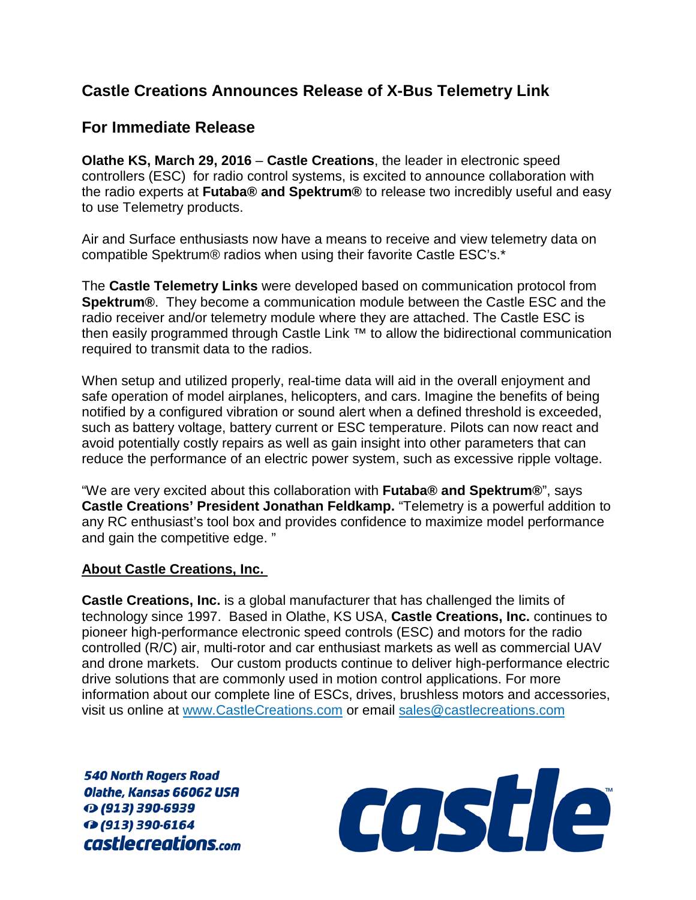## **Castle Creations Announces Release of X-Bus Telemetry Link**

## **For Immediate Release**

**Olathe KS, March 29, 2016** – **Castle Creations**, the leader in electronic speed controllers (ESC) for radio control systems, is excited to announce collaboration with the radio experts at **Futaba® and Spektrum®** to release two incredibly useful and easy to use Telemetry products.

Air and Surface enthusiasts now have a means to receive and view telemetry data on compatible Spektrum® radios when using their favorite Castle ESC's.\*

The **Castle Telemetry Links** were developed based on communication protocol from **Spektrum®**. They become a communication module between the Castle ESC and the radio receiver and/or telemetry module where they are attached. The Castle ESC is then easily programmed through Castle Link ™ to allow the bidirectional communication required to transmit data to the radios.

When setup and utilized properly, real-time data will aid in the overall enjoyment and safe operation of model airplanes, helicopters, and cars. Imagine the benefits of being notified by a configured vibration or sound alert when a defined threshold is exceeded, such as battery voltage, battery current or ESC temperature. Pilots can now react and avoid potentially costly repairs as well as gain insight into other parameters that can reduce the performance of an electric power system, such as excessive ripple voltage.

"We are very excited about this collaboration with **Futaba® and Spektrum®**", says **Castle Creations' President Jonathan Feldkamp.** "Telemetry is a powerful addition to any RC enthusiast's tool box and provides confidence to maximize model performance and gain the competitive edge. "

## **About Castle Creations, Inc.**

**Castle Creations, Inc.** is a global manufacturer that has challenged the limits of technology since 1997. Based in Olathe, KS USA, **Castle Creations, Inc.** continues to pioneer high-performance electronic speed controls (ESC) and motors for the radio controlled (R/C) air, multi-rotor and car enthusiast markets as well as commercial UAV and drone markets. Our custom products continue to deliver high-performance electric drive solutions that are commonly used in motion control applications. For more information about our complete line of ESCs, drives, brushless motors and accessories, visit us online at [www.CastleCreations.com](http://www.castlecreations.com/) or email [sales@castlecreations.com](mailto:sales@castlecreations.com)

**540 North Rogers Road** Olathe, Kansas 66062 USA ⊙ (913) 390-6939 ↑ (913) 390-6164 castlecreations.com